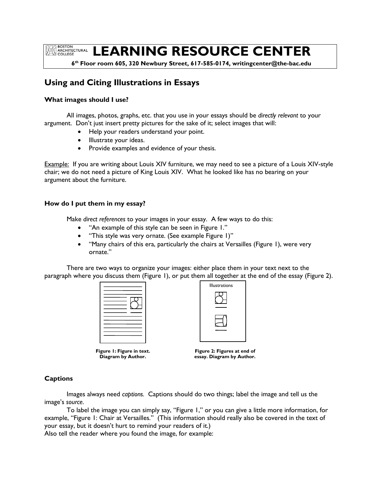**ROSTON EXAMPLE BOSTON<br>COLLEGE** 

# **LEARNING RESOURCE CENTER**

 **6 th Floor room 605, 320 Newbury Street, 617-585-0174, writingcenter@the-bac.edu**

## **Using and Citing Illustrations in Essays**

### **What images should I use?**

All images, photos, graphs, etc. that you use in your essays should be *directly relevant* to your argument. Don't just insert pretty pictures for the sake of it; select images that will:

- Help your readers understand your point.
- Illustrate your ideas.
- Provide examples and evidence of your thesis.

Example: If you are writing about Louis XIV furniture, we may need to see a picture of a Louis XIV-style chair; we do not need a picture of King Louis XIV. What he looked like has no bearing on your argument about the furniture.

#### **How do I put them in my essay?**

Make *direct references* to your images in your essay. A few ways to do this:

- "An example of this style can be seen in Figure 1."
- "This style was very ornate. (See example Figure 1)"
- "Many chairs of this era, particularly the chairs at Versailles (Figure 1), were very ornate."

There are two ways to organize your images: either place them in your text next to the paragraph where you discuss them (Figure 1), or put them all together at the end of the essay (Figure 2).



| <b>Illustrations</b> |  |
|----------------------|--|
|                      |  |
|                      |  |
|                      |  |
|                      |  |
|                      |  |
|                      |  |

**Figure 1: Figure in text. Diagram by Author.**

**Figure 2: Figures at end of essay. Diagram by Author.**

#### **Captions**

Images always need *captions.* Captions should do two things; label the image and tell us the image's *source*.

To label the image you can simply say, "Figure 1," or you can give a little more information, for example, "Figure 1: Chair at Versailles." (This information should really also be covered in the text of your essay, but it doesn't hurt to remind your readers of it.)

Also tell the reader where you found the image, for example: